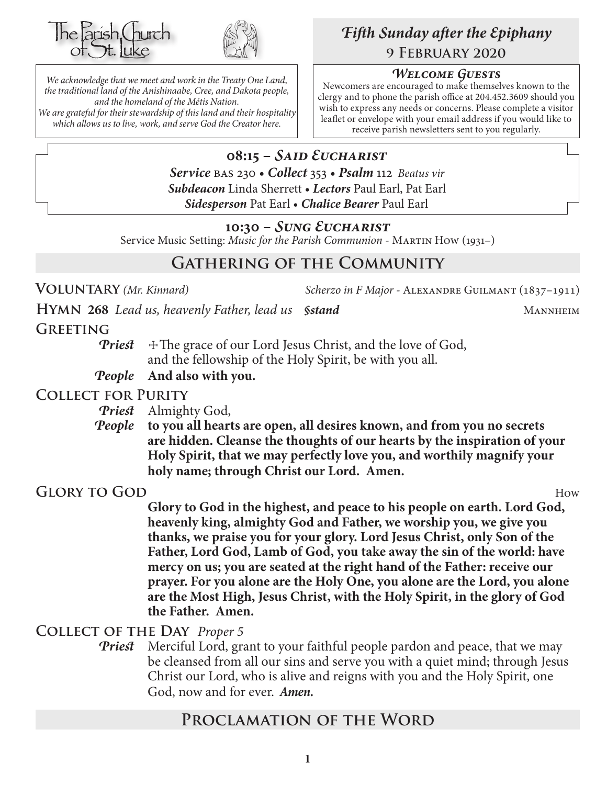



*We acknowledge that we meet and work in the Treaty One Land, the traditional land of the Anishinaabe, Cree, and Dakota people, and the homeland of the Métis Nation. We are grateful for their stewardship of this land and their hospitality which allows us to live, work, and serve God the Creator here.*

# *Fifth Sunday after the Epiphany* **9 February 2020**

#### *Welcome Guests*

Newcomers are encouraged to make themselves known to the clergy and to phone the parish office at 204.452.3609 should you wish to express any needs or concerns. Please complete a visitor leaflet or envelope with your email address if you would like to receive parish newsletters sent to you regularly.

#### **08:15 –** *Said Eucharist Service* bas 230 • *Collect* 353 • *Psalm* 112 *Beatus vir*

*Subdeacon* Linda Sherrett • *Lectors* Paul Earl, Pat Earl *Sidesperson* Pat Earl • *Chalice Bearer* Paul Earl

#### **10:30 –** *Sung Eucharist*

Service Music Setting: *Music for the Parish Communion* - MARTIN How (1931–)

# **Gathering of the Community**

**Voluntary** *(Mr. Kinnard) Scherzo in F Major -* Alexandre Guilmant (1837–1911)

**HYMN** 268 *Lead us, heavenly Father, lead us <i>§stand* MANNHEIM

**Greeting**

**Priest**  $\pm$  The grace of our Lord Jesus Christ, and the love of God, and the fellowship of the Holy Spirit, be with you all.

*People* **And also with you.**

### **Collect for Purity**

*Priest* Almighty God,

*People* **to you all hearts are open, all desires known, and from you no secrets are hidden. Cleanse the thoughts of our hearts by the inspiration of your Holy Spirit, that we may perfectly love you, and worthily magnify your holy name; through Christ our Lord. Amen.**

**Glory to God** How

**Glory to God in the highest, and peace to his people on earth. Lord God, heavenly king, almighty God and Father, we worship you, we give you thanks, we praise you for your glory. Lord Jesus Christ, only Son of the Father, Lord God, Lamb of God, you take away the sin of the world: have mercy on us; you are seated at the right hand of the Father: receive our prayer. For you alone are the Holy One, you alone are the Lord, you alone are the Most High, Jesus Christ, with the Holy Spirit, in the glory of God the Father. Amen.**

#### **Collect of the Day** *Proper 5*

*Priest* Merciful Lord, grant to your faithful people pardon and peace, that we may be cleansed from all our sins and serve you with a quiet mind; through Jesus Christ our Lord, who is alive and reigns with you and the Holy Spirit, one God, now and for ever.*Amen.*

# **Proclamation of the Word**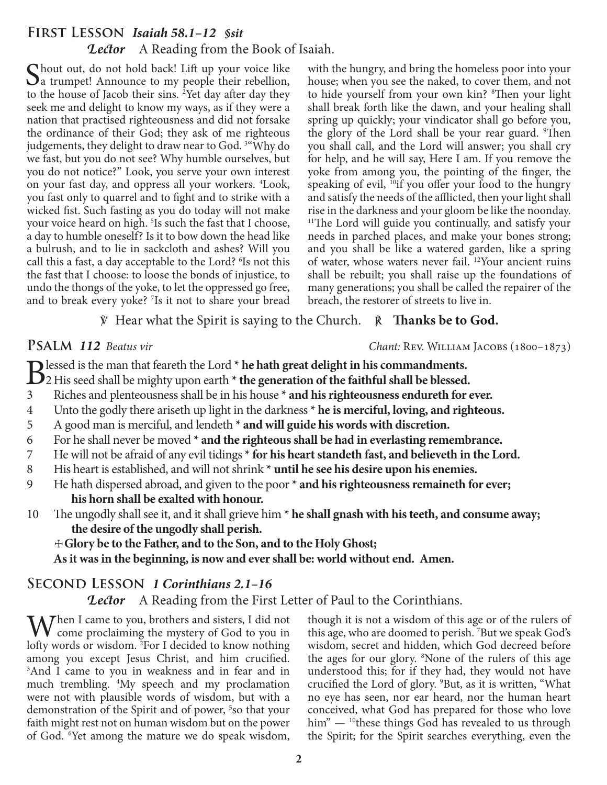## **First Lesson** *Isaiah 58.1–12 §sit Lector* A Reading from the Book of Isaiah.

Chout out, do not hold back! Lift up your voice like a trumpet! Announce to my people their rebellion, to the house of Jacob their sins. <sup>2</sup>Yet day after day they seek me and delight to know my ways, as if they were a nation that practised righteousness and did not forsake the ordinance of their God; they ask of me righteous judgements, they delight to draw near to God. 3 "Why do we fast, but you do not see? Why humble ourselves, but you do not notice?" Look, you serve your own interest on your fast day, and oppress all your workers. 4 Look, you fast only to quarrel and to fight and to strike with a wicked fist. Such fasting as you do today will not make your voice heard on high.<sup>5</sup> Is such the fast that I choose, a day to humble oneself? Is it to bow down the head like a bulrush, and to lie in sackcloth and ashes? Will you call this a fast, a day acceptable to the Lord? <sup>6</sup>Is not this the fast that I choose: to loose the bonds of injustice, to undo the thongs of the yoke, to let the oppressed go free, and to break every yoke? <sup>7</sup>Is it not to share your bread with the hungry, and bring the homeless poor into your house; when you see the naked, to cover them, and not to hide yourself from your own kin? <sup>8</sup>Then your light shall break forth like the dawn, and your healing shall spring up quickly; your vindicator shall go before you, the glory of the Lord shall be your rear guard. <sup>9</sup>Then you shall call, and the Lord will answer; you shall cry for help, and he will say, Here I am. If you remove the yoke from among you, the pointing of the finger, the speaking of evil, <sup>10</sup>if you offer your food to the hungry and satisfy the needs of the afflicted, then your light shall rise in the darkness and your gloom be like the noonday. <sup>11</sup>The Lord will guide you continually, and satisfy your needs in parched places, and make your bones strong; and you shall be like a watered garden, like a spring of water, whose waters never fail. 12Your ancient ruins shall be rebuilt; you shall raise up the foundations of many generations; you shall be called the repairer of the breach, the restorer of streets to live in.

#### ℣ Hear what the Spirit is saying to the Church. ℟ **Thanks be to God.**

**PSALM 112** Beatus vir *Chant: REV. WILLIAM JACOBS* (1800–1873)

**B**lessed is the man that feareth the Lord \* **he hath great delight in his commandments.**<br>22 His seed shall be mighty upon earth \* **the generation of the faithful shall be blessed.** 

- 
- 3 Riches and plenteousness shall be in his house **\* and his righteousness endureth for ever.**
- 4 Unto the godly there ariseth up light in the darkness **\* he is merciful, loving, and righteous.**
- 5 A good man is merciful, and lendeth **\* and will guide his words with discretion.**
- 6 For he shall never be moved **\* and the righteous shall be had in everlasting remembrance.**
- 7 He will not be afraid of any evil tidings **\* for his heart standeth fast, and believeth in the Lord.**
- 8 His heart is established, and will not shrink **\* until he see his desire upon his enemies.**
- 9 He hath dispersed abroad, and given to the poor **\* and his righteousness remaineth for ever; his horn shall be exalted with honour.**
- 10 The ungodly shall see it, and it shall grieve him **\* he shall gnash with his teeth, and consume away; the desire of the ungodly shall perish.**
	- ☩**Glory be to the Father, and to the Son, and to the Holy Ghost;**

**As it was in the beginning, is now and ever shall be: world without end. Amen.**

# **Second Lesson** *1 Corinthians 2.1–16*

**Lector** A Reading from the First Letter of Paul to the Corinthians.

 $\mathbf{W}$  hen I came to you, brothers and sisters, I did not come proclaiming the mystery of God to you in lofty words or wisdom. <sup>2</sup>For I decided to know nothing among you except Jesus Christ, and him crucified. 3 And I came to you in weakness and in fear and in much trembling. 4 My speech and my proclamation were not with plausible words of wisdom, but with a demonstration of the Spirit and of power, 5 so that your faith might rest not on human wisdom but on the power of God. 6 Yet among the mature we do speak wisdom, though it is not a wisdom of this age or of the rulers of this age, who are doomed to perish. 7 But we speak God's wisdom, secret and hidden, which God decreed before the ages for our glory. <sup>8</sup>None of the rulers of this age understood this; for if they had, they would not have crucified the Lord of glory. 9 But, as it is written, "What no eye has seen, nor ear heard, nor the human heart conceived, what God has prepared for those who love him"  $-$  <sup>10</sup>these things God has revealed to us through the Spirit; for the Spirit searches everything, even the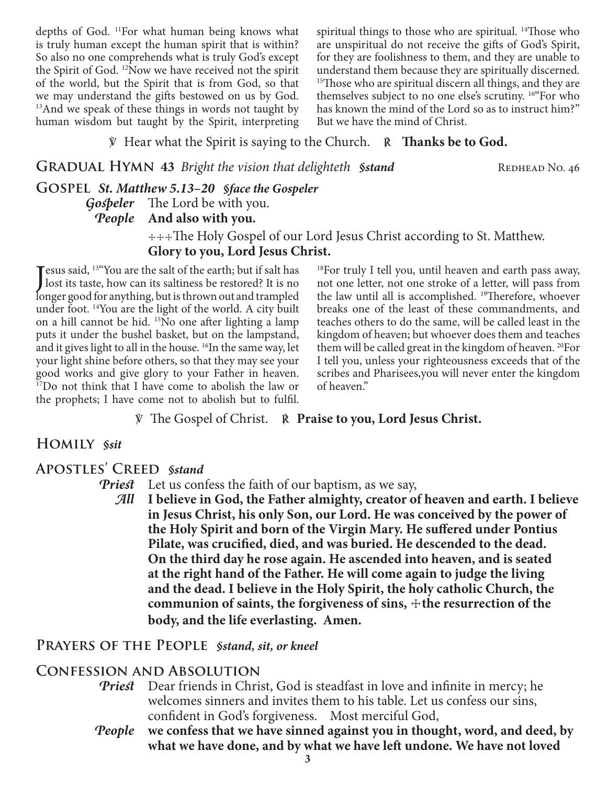depths of God. 11For what human being knows what is truly human except the human spirit that is within? So also no one comprehends what is truly God's except the Spirit of God. 12Now we have received not the spirit of the world, but the Spirit that is from God, so that we may understand the gifts bestowed on us by God. <sup>13</sup>And we speak of these things in words not taught by human wisdom but taught by the Spirit, interpreting spiritual things to those who are spiritual. <sup>14</sup>Those who are unspiritual do not receive the gifts of God's Spirit, for they are foolishness to them, and they are unable to understand them because they are spiritually discerned. <sup>15</sup>Those who are spiritual discern all things, and they are themselves subject to no one else's scrutiny. 16"For who has known the mind of the Lord so as to instruct him?" But we have the mind of Christ.

℣ Hear what the Spirit is saying to the Church. ℟ **Thanks be to God.**

**GRADUAL HYMN 43** *Bright the vision that delighteth §stand* REDHEAD No. 46

**Gospel** *St. Matthew 5.13–20 §face the Gospeler*

*Gospeler* The Lord be with you.

## *People* **And also with you.**

 ☩☩☩The Holy Gospel of our Lord Jesus Christ according to St. Matthew. **Glory to you, Lord Jesus Christ.**

Jesus said, <sup>13"</sup>You are the salt of the earth; but if salt has<br>Jost its taste, how can its saltiness be restored? It is no lost its taste, how can its saltiness be restored? It is no longer good for anything, but is thrown out and trampled under foot. 14You are the light of the world. A city built on a hill cannot be hid. 15No one after lighting a lamp puts it under the bushel basket, but on the lampstand, and it gives light to all in the house. <sup>16</sup>In the same way, let your light shine before others, so that they may see your good works and give glory to your Father in heaven. 17Do not think that I have come to abolish the law or the prophets; I have come not to abolish but to fulfil.

18For truly I tell you, until heaven and earth pass away, not one letter, not one stroke of a letter, will pass from the law until all is accomplished. 19Therefore, whoever breaks one of the least of these commandments, and teaches others to do the same, will be called least in the kingdom of heaven; but whoever does them and teaches them will be called great in the kingdom of heaven. 20For I tell you, unless your righteousness exceeds that of the scribes and Pharisees,you will never enter the kingdom of heaven."

℣ The Gospel of Christ. ℟ **Praise to you, Lord Jesus Christ.**

# **Homily** *§sit*

## **Apostles' Creed** *§stand*

*Priest* Let us confess the faith of our baptism, as we say,

*All* **I believe in God, the Father almighty, creator of heaven and earth. I believe in Jesus Christ, his only Son, our Lord. He was conceived by the power of the Holy Spirit and born of the Virgin Mary. He suffered under Pontius Pilate, was crucified, died, and was buried. He descended to the dead. On the third day he rose again. He ascended into heaven, and is seated at the right hand of the Father. He will come again to judge the living and the dead. I believe in the Holy Spirit, the holy catholic Church, the**  communion of saints, the forgiveness of sins,  $+$ the resurrection of the **body, and the life everlasting. Amen.**

## **Prayers of the People** *§stand, sit, or kneel*

#### **Confession and Absolution**

- *Priest* Dear friends in Christ, God is steadfast in love and infinite in mercy; he welcomes sinners and invites them to his table. Let us confess our sins, confident in God's forgiveness. Most merciful God,
- *People* **we confess that we have sinned against you in thought, word, and deed, by what we have done, and by what we have left undone. We have not loved**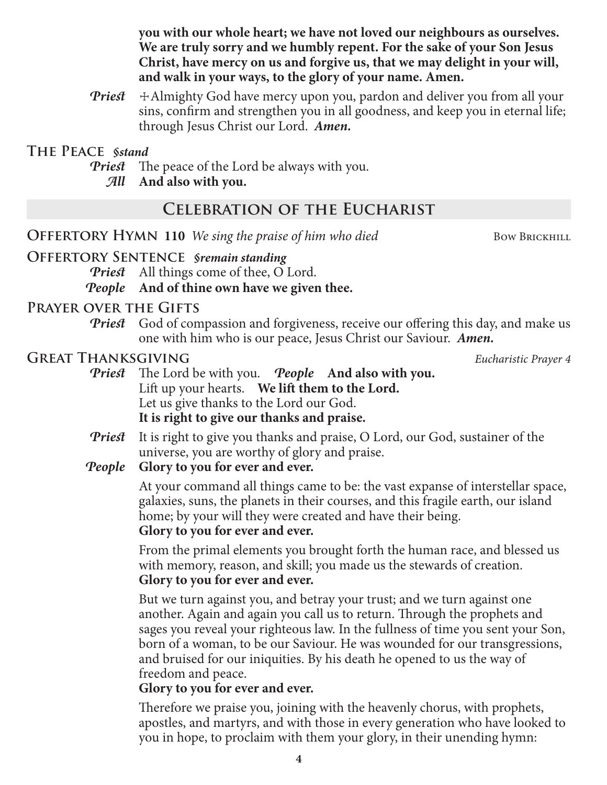**you with our whole heart; we have not loved our neighbours as ourselves. We are truly sorry and we humbly repent. For the sake of your Son Jesus Christ, have mercy on us and forgive us, that we may delight in your will, and walk in your ways, to the glory of your name. Amen.**

*Priest*  $\div$  Almighty God have mercy upon you, pardon and deliver you from all your sins, confirm and strengthen you in all goodness, and keep you in eternal life; through Jesus Christ our Lord.*Amen.*

**The Peace** *§stand*

*Priest* The peace of the Lord be always with you.

*All* **And also with you.**

# **Celebration of the Eucharist**

**OFFERTORY HYMN 110** *We sing the praise of him who died* Bow BrickHILL

## **Offertory Sentence** *§remain standing*

*Priest* All things come of thee, O Lord.

#### *People* **And of thine own have we given thee.**

## **Prayer over the Gifts**

*Priest* God of compassion and forgiveness, receive our offering this day, and make us one with him who is our peace, Jesus Christ our Saviour. *Amen.*

# **Great Thanksgiving** *Eucharistic Prayer 4*

- *Priest* The Lord be with you. *People* **And also with you.** Lift up your hearts. **We lift them to the Lord.** Let us give thanks to the Lord our God. **It is right to give our thanks and praise.**
- *Priest* It is right to give you thanks and praise, O Lord, our God, sustainer of the universe, you are worthy of glory and praise.

## *People* **Glory to you for ever and ever.**

At your command all things came to be: the vast expanse of interstellar space, galaxies, suns, the planets in their courses, and this fragile earth, our island home; by your will they were created and have their being. **Glory to you for ever and ever.**

From the primal elements you brought forth the human race, and blessed us with memory, reason, and skill; you made us the stewards of creation. **Glory to you for ever and ever.**

But we turn against you, and betray your trust; and we turn against one another. Again and again you call us to return. Through the prophets and sages you reveal your righteous law. In the fullness of time you sent your Son, born of a woman, to be our Saviour. He was wounded for our transgressions, and bruised for our iniquities. By his death he opened to us the way of freedom and peace.

## **Glory to you for ever and ever.**

Therefore we praise you, joining with the heavenly chorus, with prophets, apostles, and martyrs, and with those in every generation who have looked to you in hope, to proclaim with them your glory, in their unending hymn: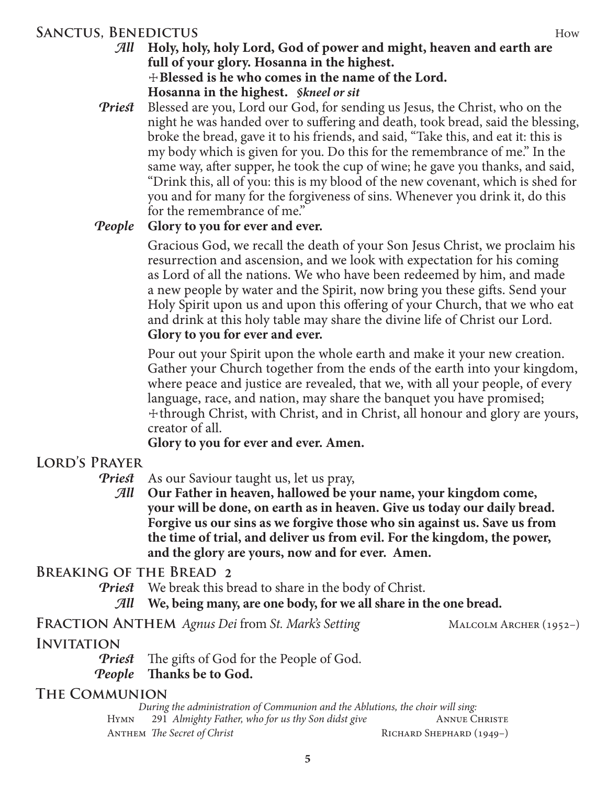### **SANCTUS, BENEDICTUS** How

*Priest* Blessed are you, Lord our God, for sending us Jesus, the Christ, who on the night he was handed over to suffering and death, took bread, said the blessing, broke the bread, gave it to his friends, and said, "Take this, and eat it: this is my body which is given for you. Do this for the remembrance of me." In the same way, after supper, he took the cup of wine; he gave you thanks, and said, "Drink this, all of you: this is my blood of the new covenant, which is shed for you and for many for the forgiveness of sins. Whenever you drink it, do this for the remembrance of me."

#### *People* **Glory to you for ever and ever.**

Gracious God, we recall the death of your Son Jesus Christ, we proclaim his resurrection and ascension, and we look with expectation for his coming as Lord of all the nations. We who have been redeemed by him, and made a new people by water and the Spirit, now bring you these gifts. Send your Holy Spirit upon us and upon this offering of your Church, that we who eat and drink at this holy table may share the divine life of Christ our Lord. **Glory to you for ever and ever.**

Pour out your Spirit upon the whole earth and make it your new creation. Gather your Church together from the ends of the earth into your kingdom, where peace and justice are revealed, that we, with all your people, of every language, race, and nation, may share the banquet you have promised; ☩through Christ, with Christ, and in Christ, all honour and glory are yours, creator of all.

**Glory to you for ever and ever. Amen.**

# **Lord's Prayer**

*Priest* As our Saviour taught us, let us pray,

*All* **Our Father in heaven, hallowed be your name, your kingdom come, your will be done, on earth as in heaven. Give us today our daily bread. Forgive us our sins as we forgive those who sin against us. Save us from the time of trial, and deliver us from evil. For the kingdom, the power, and the glory are yours, now and for ever. Amen.**

## **Breaking of the Bread 2**

*Priest* We break this bread to share in the body of Christ.

*All* **We, being many, are one body, for we all share in the one bread.**

FRACTION ANTHEM Agnus Dei from St. Mark's Setting MALCOLM ARCHER (1952-)

# **Invitation**

*Priest* The gifts of God for the People of God. *People* **Thanks be to God.**

## **The Communion**

*During the administration of Communion and the Ablutions, the choir will sing:* HYMN 291 *Almighty Father, who for us thy Son didst give* ANNUE CHRISTE ANTHEM *The Secret of Christ* **Richard Shephard (1949–)** RICHARD SHEPHARD (1949–)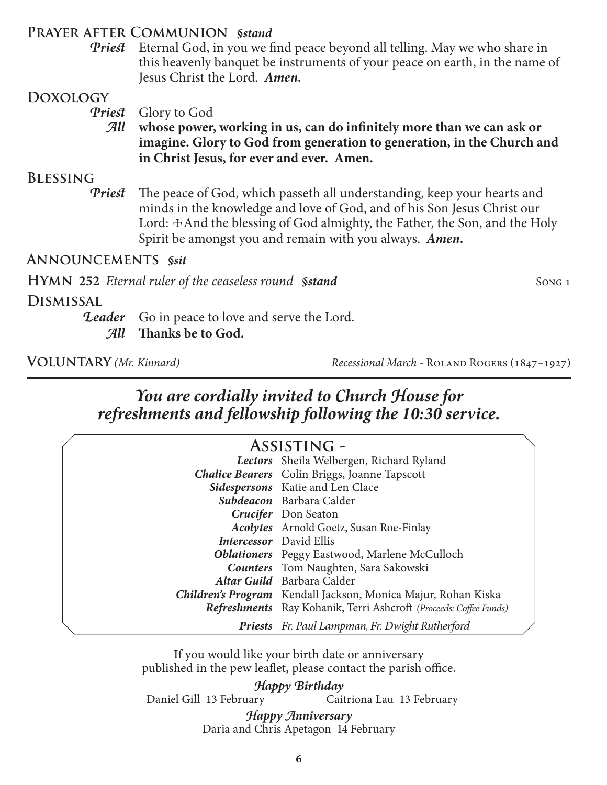#### **Prayer after Communion** *§stand*

*Priest* Eternal God, in you we find peace beyond all telling. May we who share in this heavenly banquet be instruments of your peace on earth, in the name of Jesus Christ the Lord. *Amen.*

#### **Doxology**

*Priest* Glory to God

*All* **whose power, working in us, can do infinitely more than we can ask or imagine. Glory to God from generation to generation, in the Church and in Christ Jesus, for ever and ever. Amen.**

#### **Blessing**

*Priest* The peace of God, which passeth all understanding, keep your hearts and minds in the knowledge and love of God, and of his Son Jesus Christ our Lord:  $\pm$ And the blessing of God almighty, the Father, the Son, and the Holy Spirit be amongst you and remain with you always. *Amen.*

#### **Announcements** *§sit*

**HYMN** 252 *Eternal ruler of the ceaseless round Sstand* Song 1

**Dismissal**

**Leader** Go in peace to love and serve the Lord. *All* **Thanks be to God.**

**Voluntary** *(Mr. Kinnard) Recessional March -* Roland Rogers (1847–1927)

# *You are cordially invited to Church House for refreshments and fellowship following the 10:30 service.*

| <b>ASSISTING -</b> |                                                                      |  |
|--------------------|----------------------------------------------------------------------|--|
|                    | Lectors Sheila Welbergen, Richard Ryland                             |  |
|                    | <b>Chalice Bearers</b> Colin Briggs, Joanne Tapscott                 |  |
|                    | Sidespersons Katie and Len Clace                                     |  |
|                    | Subdeacon Barbara Calder                                             |  |
|                    | Crucifer Don Seaton                                                  |  |
|                    | <b>Acolytes</b> Arnold Goetz, Susan Roe-Finlay                       |  |
|                    | <b>Intercessor</b> David Ellis                                       |  |
|                    | <b>Oblationers</b> Peggy Eastwood, Marlene McCulloch                 |  |
|                    | <b>Counters</b> Tom Naughten, Sara Sakowski                          |  |
|                    | Altar Guild Barbara Calder                                           |  |
|                    | <b>Children's Program</b> Kendall Jackson, Monica Majur, Rohan Kiska |  |
|                    | Refreshments Ray Kohanik, Terri Ashcroft (Proceeds: Coffee Funds)    |  |
|                    | <b>Priests</b> Fr. Paul Lampman, Fr. Dwight Rutherford               |  |

If you would like your birth date or anniversary published in the pew leaflet, please contact the parish office.

*Happy Birthday*<br>Daniel Gill 13 February Cait Caitriona Lau 13 February Daria and Chris Apetagon 14 February *Happy Anniversary*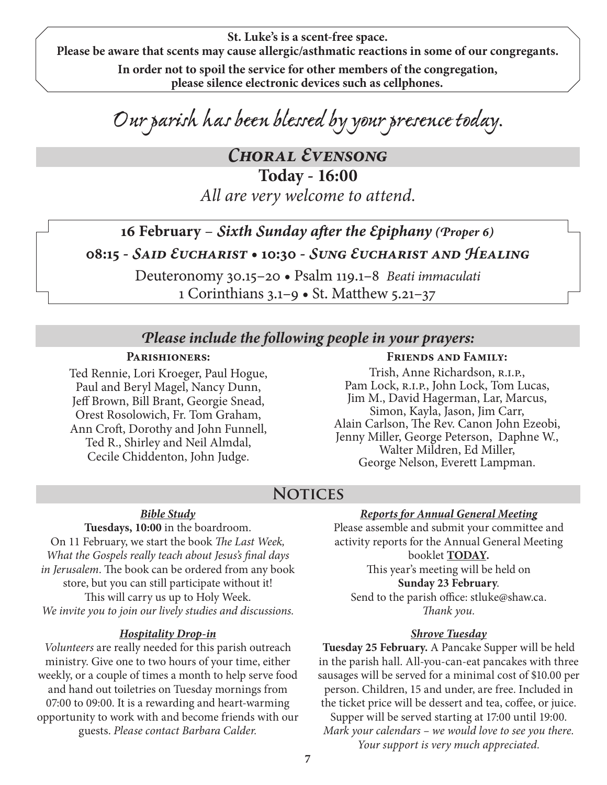**St. Luke's is a scent-free space. Please be aware that scents may cause allergic/asthmatic reactions in some of our congregants.**

> **In order not to spoil the service for other members of the congregation, please silence electronic devices such as cellphones.**

*Our parish has been blessed by your presence today.*

*Choral Evensong* **Today - 16:00** *All are very welcome to attend.*

# **16 February** – *Sixth Sunday after the Epiphany (Proper 6)* **08:15 -** *Said Eucharist* **• 10:30 -** *Sung Eucharist and Healing*

Deuteronomy 30.15–20 • Psalm 119.1–8 *Beati immaculati* 1 Corinthians 3.1–9 • St. Matthew 5.21–37

#### *Please include the following people in your prayers:*

#### **Parishioners:**

Ted Rennie, Lori Kroeger, Paul Hogue, Paul and Beryl Magel, Nancy Dunn, Jeff Brown, Bill Brant, Georgie Snead, Orest Rosolowich, Fr. Tom Graham, Ann Croft, Dorothy and John Funnell, Ted R., Shirley and Neil Almdal, Cecile Chiddenton, John Judge.

#### **Friends and Family:**

Trish, Anne Richardson, r.i.p., Pam Lock, R.I.P., John Lock, Tom Lucas, Jim M., David Hagerman, Lar, Marcus, Simon, Kayla, Jason, Jim Carr, Alain Carlson, The Rev. Canon John Ezeobi, Jenny Miller, George Peterson, Daphne W., Walter Mildren, Ed Miller, George Nelson, Everett Lampman.

## **Notices**

#### *Bible Study*

**Tuesdays, 10:00** in the boardroom. On 11 February, we start the book *The Last Week, What the Gospels really teach about Jesus's final days in Jerusalem*. The book can be ordered from any book store, but you can still participate without it! This will carry us up to Holy Week. *We invite you to join our lively studies and discussions.*

#### *Hospitality Drop-in*

*Volunteers* are really needed for this parish outreach ministry. Give one to two hours of your time, either weekly, or a couple of times a month to help serve food and hand out toiletries on Tuesday mornings from 07:00 to 09:00. It is a rewarding and heart-warming opportunity to work with and become friends with our guests. *Please contact Barbara Calder.*

#### *Reports for Annual General Meeting*

Please assemble and submit your committee and activity reports for the Annual General Meeting booklet **TODAY.** This year's meeting will be held on **Sunday 23 February**. Send to the parish office: stluke@shaw.ca.

*Thank you.*

#### *Shrove Tuesday*

**Tuesday 25 February.** A Pancake Supper will be held in the parish hall. All-you-can-eat pancakes with three sausages will be served for a minimal cost of \$10.00 per person. Children, 15 and under, are free. Included in the ticket price will be dessert and tea, coffee, or juice. Supper will be served starting at 17:00 until 19:00. *Mark your calendars – we would love to see you there. Your support is very much appreciated.*